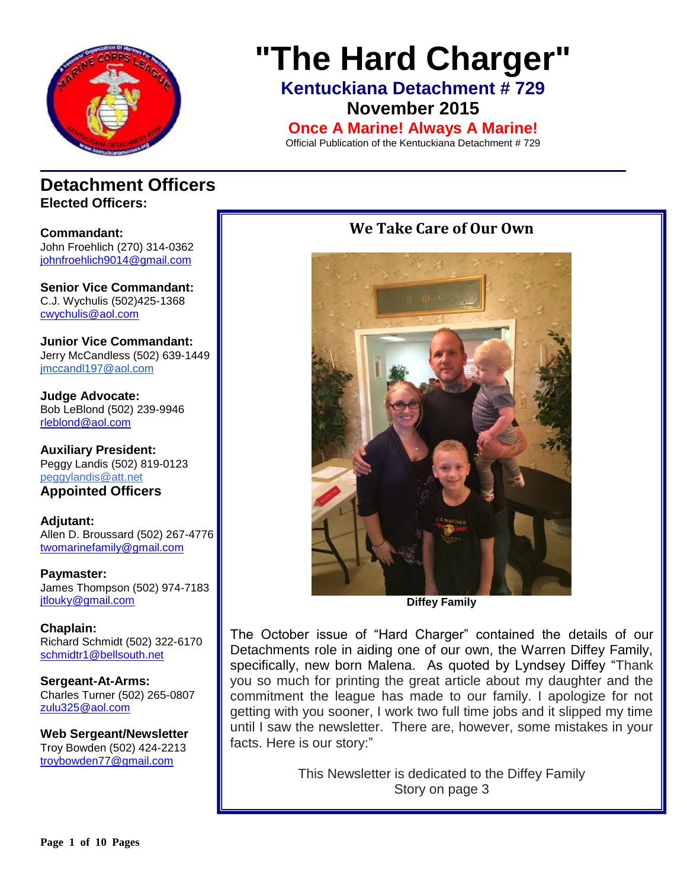

# **"The Hard Charger"**

**Kentuckiana Detachment # 729 November 2015**

**Once A Marine! Always A Marine!**

Official Publication of the Kentuckiana Detachment # 729

### **Detachment Officers Elected Officers:**

**Commandant:**  John Froehlich (270) 314-0362 [johnfroehlich9014@gmail.com](../../../../../../Allen%20Broussard/Downloads/johnfroehlich9014@gmail.com)

**Senior Vice Commandant:** C.J. Wychulis (502)425-1368 cwychulis@aol.com

**Junior Vice Commandant:** Jerry McCandless (502) 639-1449 [jmccandl197@aol.com](mailto:jmccandl197@aol.com)

**Judge Advocate:** Bob LeBlond (502) 239-9946 rleblond@aol.com

**Auxiliary President:** Peggy Landis (502) 819-0123 peggylandis@att.net

**Appointed Officers**

**Adjutant:** Allen D. Broussard (502) 267-4776 [twomarinefamily@gmail.com](https://commcenter.insightbb.com/attach/2006/broussard.marines@insightbb.com)

**Paymaster:** James Thompson (502) 974-7183 [jtlouky@gmail.com](mailto:jtlouky@gmail.com)

**Chaplain:** Richard Schmidt (502) 322-6170 [schmidtr1@bellsouth.net](mailto:Alusmc75@gmail.com)

**Sergeant-At-Arms:** Charles Turner (502) 265-0807 [zulu325@aol.com](../../../../../../Allen%20Broussard/Downloads/zulu325@aol.com)

**Web Sergeant/Newsletter** Troy Bowden (502) 424-2213 troybowden77@gmail.com

### **We Take Care of Our Own**



**Diffey Family**

The October issue of "Hard Charger" contained the details of our Detachments role in aiding one of our own, the Warren Diffey Family, specifically, new born Malena. As quoted by Lyndsey Diffey "Thank you so much for printing the great article about my daughter and the commitment the league has made to our family. I apologize for not getting with you sooner, I work two full time jobs and it slipped my time until I saw the newsletter. There are, however, some mistakes in your facts. Here is our story:"

> This Newsletter is dedicated to the Diffey Family Story on page 3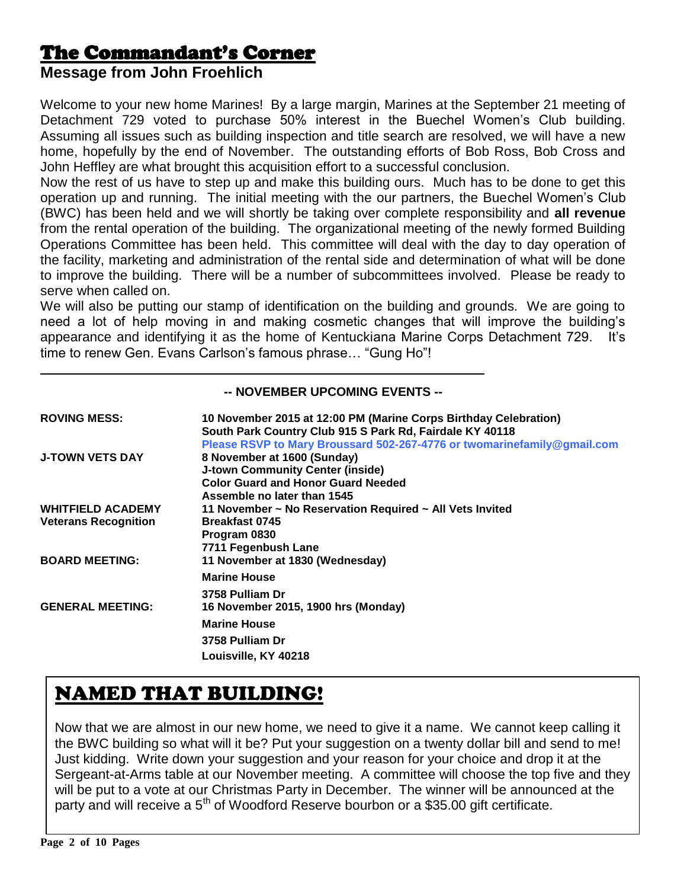### The Commandant's Corner

### **Message from John Froehlich**

Welcome to your new home Marines! By a large margin, Marines at the September 21 meeting of Detachment 729 voted to purchase 50% interest in the Buechel Women's Club building. Assuming all issues such as building inspection and title search are resolved, we will have a new home, hopefully by the end of November. The outstanding efforts of Bob Ross, Bob Cross and John Heffley are what brought this acquisition effort to a successful conclusion.

Now the rest of us have to step up and make this building ours. Much has to be done to get this operation up and running. The initial meeting with the our partners, the Buechel Women's Club (BWC) has been held and we will shortly be taking over complete responsibility and **all revenue** from the rental operation of the building. The organizational meeting of the newly formed Building Operations Committee has been held. This committee will deal with the day to day operation of the facility, marketing and administration of the rental side and determination of what will be done to improve the building. There will be a number of subcommittees involved. Please be ready to serve when called on.

We will also be putting our stamp of identification on the building and grounds. We are going to need a lot of help moving in and making cosmetic changes that will improve the building's appearance and identifying it as the home of Kentuckiana Marine Corps Detachment 729. It's time to renew Gen. Evans Carlson's famous phrase… "Gung Ho"!

### **-- NOVEMBER UPCOMING EVENTS --**

| <b>ROVING MESS:</b>         | 10 November 2015 at 12:00 PM (Marine Corps Birthday Celebration)<br>South Park Country Club 915 S Park Rd, Fairdale KY 40118<br>Please RSVP to Mary Broussard 502-267-4776 or twomarinefamily@gmail.com |
|-----------------------------|---------------------------------------------------------------------------------------------------------------------------------------------------------------------------------------------------------|
| <b>J-TOWN VETS DAY</b>      | 8 November at 1600 (Sunday)<br><b>J-town Community Center (inside)</b>                                                                                                                                  |
|                             | <b>Color Guard and Honor Guard Needed</b><br>Assemble no later than 1545                                                                                                                                |
| <b>WHITFIELD ACADEMY</b>    | 11 November ~ No Reservation Required ~ All Vets Invited                                                                                                                                                |
| <b>Veterans Recognition</b> | <b>Breakfast 0745</b>                                                                                                                                                                                   |
|                             | Program 0830                                                                                                                                                                                            |
|                             | 7711 Fegenbush Lane                                                                                                                                                                                     |
| <b>BOARD MEETING:</b>       | 11 November at 1830 (Wednesday)                                                                                                                                                                         |
|                             | <b>Marine House</b>                                                                                                                                                                                     |
|                             | 3758 Pulliam Dr                                                                                                                                                                                         |
| <b>GENERAL MEETING:</b>     | 16 November 2015, 1900 hrs (Monday)                                                                                                                                                                     |
|                             | <b>Marine House</b>                                                                                                                                                                                     |
|                             | 3758 Pulliam Dr                                                                                                                                                                                         |
|                             | Louisville, KY 40218                                                                                                                                                                                    |

# NAMED THAT BUILDING!

Now that we are almost in our new home, we need to give it a name. We cannot keep calling it the BWC building so what will it be? Put your suggestion on a twenty dollar bill and send to me! Just kidding. Write down your suggestion and your reason for your choice and drop it at the Sergeant-at-Arms table at our November meeting. A committee will choose the top five and they will be put to a vote at our Christmas Party in December. The winner will be announced at the party and will receive a 5<sup>th</sup> of Woodford Reserve bourbon or a \$35.00 gift certificate.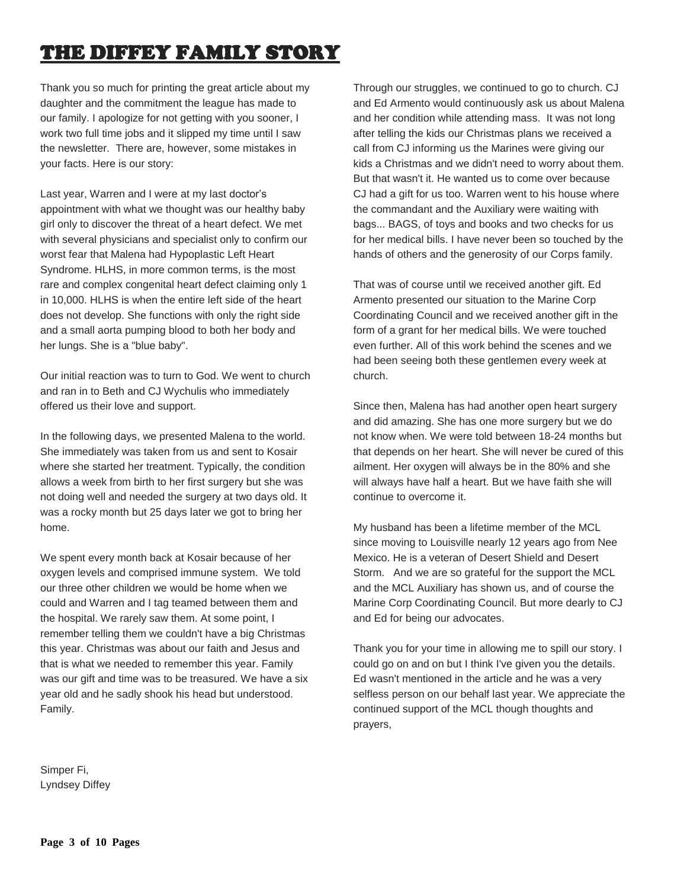# THE DIFFEY FAMILY STORY

Thank you so much for printing the great article about my daughter and the commitment the league has made to our family. I apologize for not getting with you sooner, I work two full time jobs and it slipped my time until I saw the newsletter. There are, however, some mistakes in your facts. Here is our story:

Last year, Warren and I were at my last doctor's appointment with what we thought was our healthy baby girl only to discover the threat of a heart defect. We met with several physicians and specialist only to confirm our worst fear that Malena had Hypoplastic Left Heart Syndrome. HLHS, in more common terms, is the most rare and complex congenital heart defect claiming only 1 in 10,000. HLHS is when the entire left side of the heart does not develop. She functions with only the right side and a small aorta pumping blood to both her body and her lungs. She is a "blue baby".

Our initial reaction was to turn to God. We went to church and ran in to Beth and CJ Wychulis who immediately offered us their love and support.

In the following days, we presented Malena to the world. She immediately was taken from us and sent to Kosair where she started her treatment. Typically, the condition allows a week from birth to her first surgery but she was not doing well and needed the surgery at two days old. It was a rocky month but 25 days later we got to bring her home.

We spent every month back at Kosair because of her oxygen levels and comprised immune system. We told our three other children we would be home when we could and Warren and I tag teamed between them and the hospital. We rarely saw them. At some point, I remember telling them we couldn't have a big Christmas this year. Christmas was about our faith and Jesus and that is what we needed to remember this year. Family was our gift and time was to be treasured. We have a six year old and he sadly shook his head but understood. Family.

Through our struggles, we continued to go to church. CJ and Ed Armento would continuously ask us about Malena and her condition while attending mass. It was not long after telling the kids our Christmas plans we received a call from CJ informing us the Marines were giving our kids a Christmas and we didn't need to worry about them. But that wasn't it. He wanted us to come over because CJ had a gift for us too. Warren went to his house where the commandant and the Auxiliary were waiting with bags... BAGS, of toys and books and two checks for us for her medical bills. I have never been so touched by the hands of others and the generosity of our Corps family.

That was of course until we received another gift. Ed Armento presented our situation to the Marine Corp Coordinating Council and we received another gift in the form of a grant for her medical bills. We were touched even further. All of this work behind the scenes and we had been seeing both these gentlemen every week at church.

Since then, Malena has had another open heart surgery and did amazing. She has one more surgery but we do not know when. We were told between 18-24 months but that depends on her heart. She will never be cured of this ailment. Her oxygen will always be in the 80% and she will always have half a heart. But we have faith she will continue to overcome it.

My husband has been a lifetime member of the MCL since moving to Louisville nearly 12 years ago from Nee Mexico. He is a veteran of Desert Shield and Desert Storm. And we are so grateful for the support the MCL and the MCL Auxiliary has shown us, and of course the Marine Corp Coordinating Council. But more dearly to CJ and Ed for being our advocates.

Thank you for your time in allowing me to spill our story. I could go on and on but I think I've given you the details. Ed wasn't mentioned in the article and he was a very selfless person on our behalf last year. We appreciate the continued support of the MCL though thoughts and prayers,

Simper Fi, Lyndsey Diffey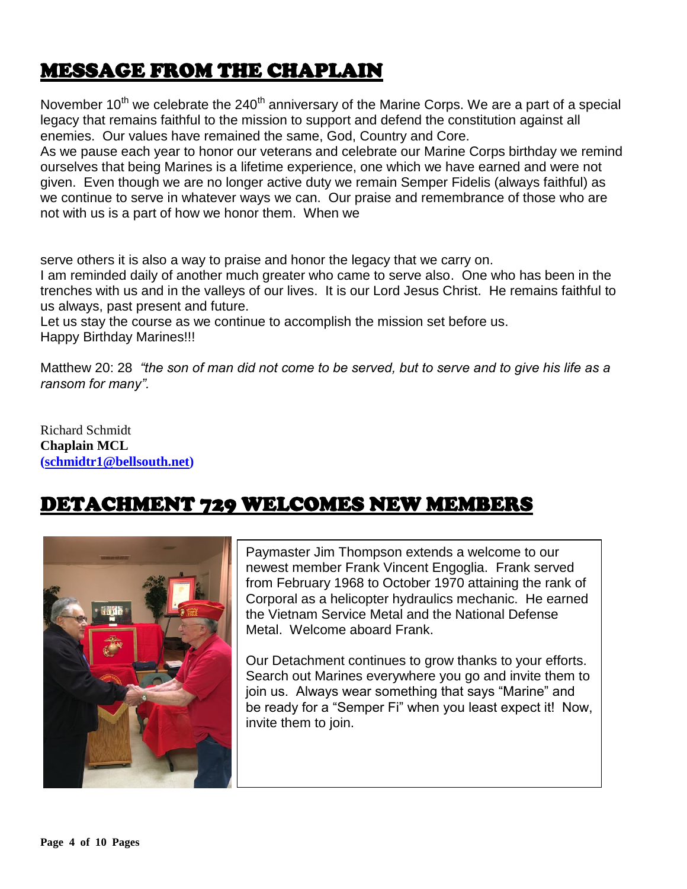# MESSAGE FROM THE CHAPLAIN

November  $10^{th}$  we celebrate the  $240^{th}$  anniversary of the Marine Corps. We are a part of a special legacy that remains faithful to the mission to support and defend the constitution against all enemies. Our values have remained the same, God, Country and Core.

As we pause each year to honor our veterans and celebrate our Marine Corps birthday we remind ourselves that being Marines is a lifetime experience, one which we have earned and were not given. Even though we are no longer active duty we remain Semper Fidelis (always faithful) as we continue to serve in whatever ways we can. Our praise and remembrance of those who are not with us is a part of how we honor them. When we

serve others it is also a way to praise and honor the legacy that we carry on.

I am reminded daily of another much greater who came to serve also. One who has been in the trenches with us and in the valleys of our lives. It is our Lord Jesus Christ. He remains faithful to us always, past present and future.

Let us stay the course as we continue to accomplish the mission set before us. Happy Birthday Marines!!!

Matthew 20: 28 *"the son of man did not come to be served, but to serve and to give his life as a ransom for many".*

Richard Schmidt **Chaplain MCL [\(schmidtr1@bellsouth.net\)](mailto:schmidtr1@bellsouth.net)**

# DETACHMENT 729 WELCOMES NEW MEMBERS



Paymaster Jim Thompson extends a welcome to our newest member Frank Vincent Engoglia. Frank served from February 1968 to October 1970 attaining the rank of Corporal as a helicopter hydraulics mechanic. He earned the Vietnam Service Metal and the National Defense Metal. Welcome aboard Frank.

Our Detachment continues to grow thanks to your efforts. Search out Marines everywhere you go and invite them to join us. Always wear something that says "Marine" and be ready for a "Semper Fi" when you least expect it! Now, invite them to join.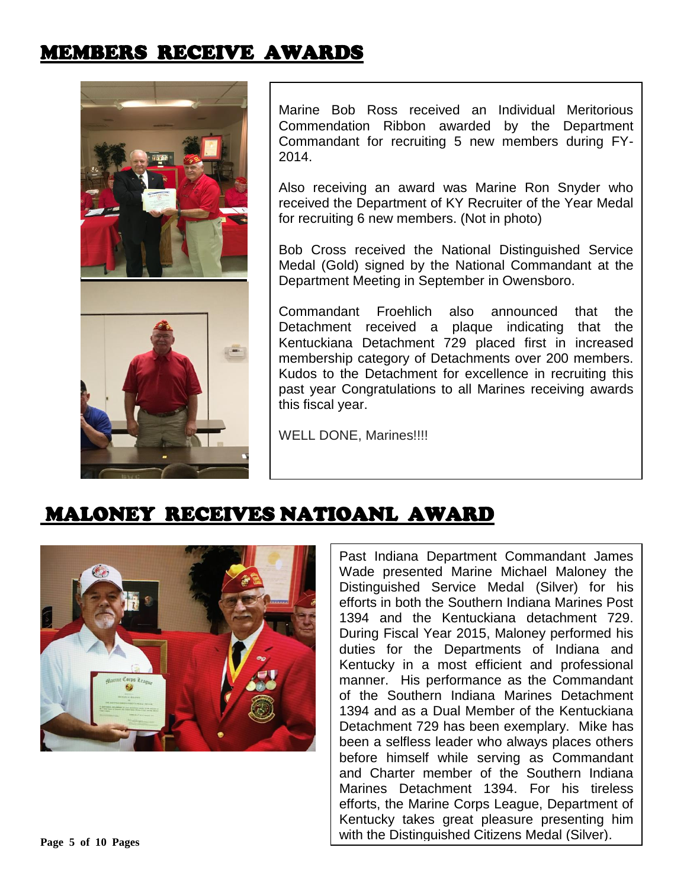# MEMBERS RECEIVE AWARDS



Marine Bob Ross received an Individual Meritorious Commendation Ribbon awarded by the Department Commandant for recruiting 5 new members during FY-2014.

Also receiving an award was Marine Ron Snyder who received the Department of KY Recruiter of the Year Medal for recruiting 6 new members. (Not in photo)

Bob Cross received the National Distinguished Service Medal (Gold) signed by the National Commandant at the Department Meeting in September in Owensboro.

Commandant Froehlich also announced that the Detachment received a plaque indicating that the Kentuckiana Detachment 729 placed first in increased membership category of Detachments over 200 members. Kudos to the Detachment for excellence in recruiting this past year Congratulations to all Marines receiving awards this fiscal year.

WELL DONE, Marines!!!!



MALONEY RECEIVES NATIOANL AWARD

Past Indiana Department Commandant James Wade presented Marine Michael Maloney the Distinguished Service Medal (Silver) for his efforts in both the Southern Indiana Marines Post 1394 and the Kentuckiana detachment 729. During Fiscal Year 2015, Maloney performed his duties for the Departments of Indiana and Kentucky in a most efficient and professional manner. His performance as the Commandant of the Southern Indiana Marines Detachment 1394 and as a Dual Member of the Kentuckiana Detachment 729 has been exemplary. Mike has been a selfless leader who always places others before himself while serving as Commandant and Charter member of the Southern Indiana Marines Detachment 1394. For his tireless efforts, the Marine Corps League, Department of Kentucky takes great pleasure presenting him with the Distinguished Citizens Medal (Silver).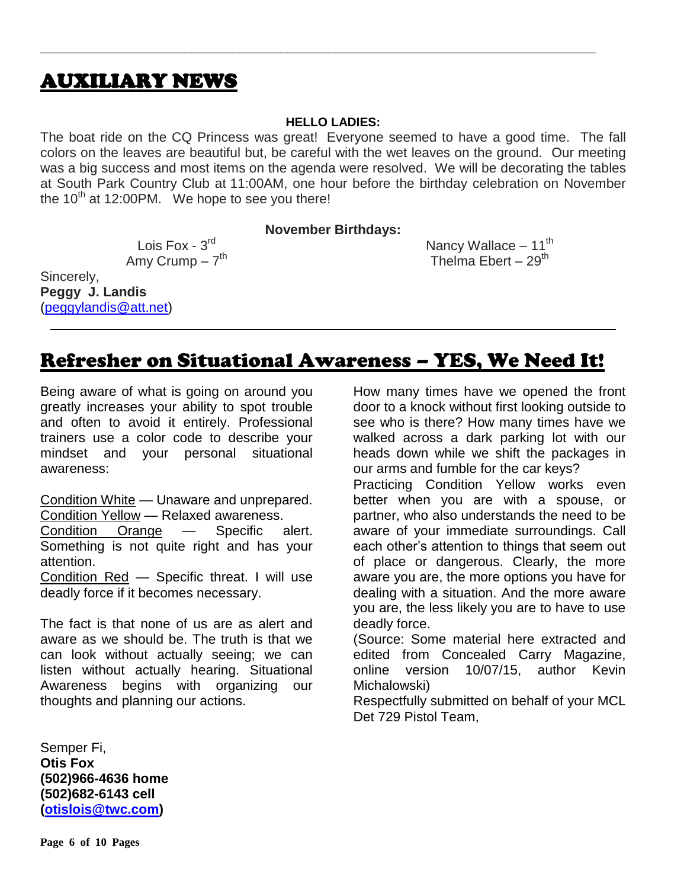### AUXILIARY NEWS

### **HELLO LADIES:**

**\_\_\_\_\_\_\_\_\_\_\_\_\_\_\_\_\_\_\_\_\_\_\_\_\_\_\_\_\_\_\_\_\_\_\_\_\_\_\_\_\_\_\_\_\_\_\_\_\_\_\_\_\_\_\_\_\_\_\_\_\_\_\_\_\_\_\_\_\_\_\_\_\_\_\_\_\_\_\_\_\_**

The boat ride on the CQ Princess was great! Everyone seemed to have a good time. The fall colors on the leaves are beautiful but, be careful with the wet leaves on the ground. Our meeting was a big success and most items on the agenda were resolved. We will be decorating the tables at South Park Country Club at 11:00AM, one hour before the birthday celebration on November the  $10^{th}$  at 12:00PM. We hope to see you there!

**November Birthdays:**

Lois Fox - 3rd Amy Crump – 7<sup>th</sup>

Sincerely, **Peggy J. Landis** [\(peggylandis@att.net\)](../../../../../Bob/AppData/Local/Microsoft/Windows/Temporary%20Internet%20Files/Content.IE5/E9IEDDJK/peggylandis@att.net) Nancy Wallace  $-11^{th}$ Thelma Ebert  $-29<sup>th</sup>$ 

### Refresher on Situational Awareness – YES, We Need It!

Being aware of what is going on around you greatly increases your ability to spot trouble and often to avoid it entirely. Professional trainers use a color code to describe your mindset and your personal situational awareness:

Condition White — Unaware and unprepared. Condition Yellow — Relaxed awareness. Condition Orange — Specific alert. Something is not quite right and has your attention. Condition Red — Specific threat. I will use

deadly force if it becomes necessary.

The fact is that none of us are as alert and aware as we should be. The truth is that we can look without actually seeing; we can listen without actually hearing. Situational Awareness begins with organizing our thoughts and planning our actions.

Semper Fi, **Otis Fox (502)966-4636 home (502)682-6143 cell [\(otislois@twc.com\)](mailto:otislois@twc.com)**

How many times have we opened the front door to a knock without first looking outside to see who is there? How many times have we walked across a dark parking lot with our heads down while we shift the packages in our arms and fumble for the car keys?

Practicing Condition Yellow works even better when you are with a spouse, or partner, who also understands the need to be aware of your immediate surroundings. Call each other's attention to things that seem out of place or dangerous. Clearly, the more aware you are, the more options you have for dealing with a situation. And the more aware you are, the less likely you are to have to use deadly force.

(Source: Some material here extracted and edited from Concealed Carry Magazine, online version 10/07/15, author Kevin Michalowski)

Respectfully submitted on behalf of your MCL Det 729 Pistol Team,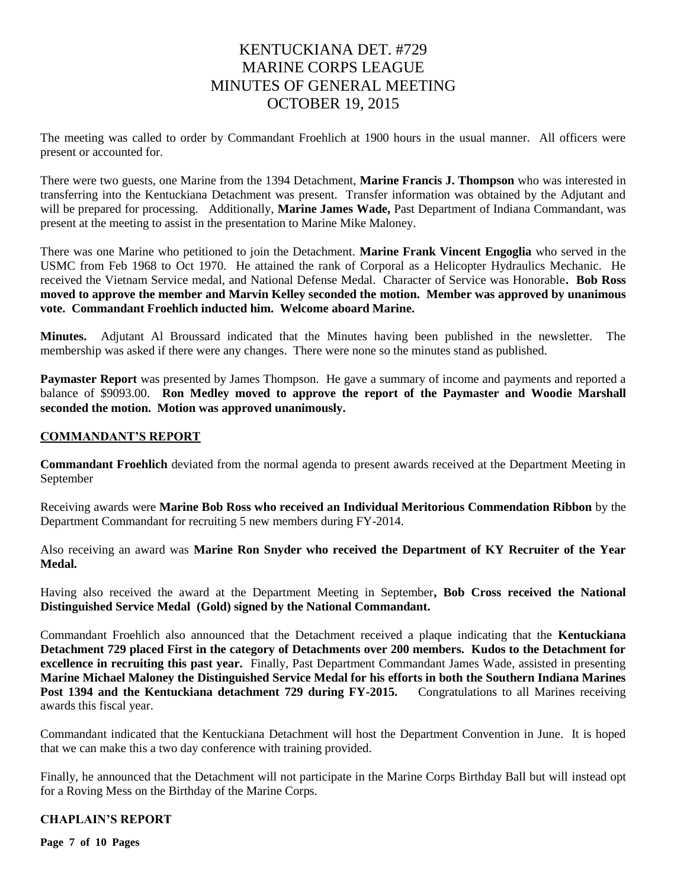### KENTUCKIANA DET. #729 MARINE CORPS LEAGUE MINUTES OF GENERAL MEETING OCTOBER 19, 2015

The meeting was called to order by Commandant Froehlich at 1900 hours in the usual manner. All officers were present or accounted for.

There were two guests, one Marine from the 1394 Detachment, **Marine Francis J. Thompson** who was interested in transferring into the Kentuckiana Detachment was present. Transfer information was obtained by the Adjutant and will be prepared for processing. Additionally, **Marine James Wade,** Past Department of Indiana Commandant, was present at the meeting to assist in the presentation to Marine Mike Maloney.

There was one Marine who petitioned to join the Detachment. **Marine Frank Vincent Engoglia** who served in the USMC from Feb 1968 to Oct 1970. He attained the rank of Corporal as a Helicopter Hydraulics Mechanic. He received the Vietnam Service medal, and National Defense Medal. Character of Service was Honorable**. Bob Ross moved to approve the member and Marvin Kelley seconded the motion. Member was approved by unanimous vote. Commandant Froehlich inducted him. Welcome aboard Marine.**

**Minutes.** Adjutant Al Broussard indicated that the Minutes having been published in the newsletter. The membership was asked if there were any changes. There were none so the minutes stand as published.

**Paymaster Report** was presented by James Thompson. He gave a summary of income and payments and reported a balance of \$9093.00. **Ron Medley moved to approve the report of the Paymaster and Woodie Marshall seconded the motion. Motion was approved unanimously.**

#### **COMMANDANT'S REPORT**

**Commandant Froehlich** deviated from the normal agenda to present awards received at the Department Meeting in September

Receiving awards were **Marine Bob Ross who received an Individual Meritorious Commendation Ribbon** by the Department Commandant for recruiting 5 new members during FY-2014.

Also receiving an award was **Marine Ron Snyder who received the Department of KY Recruiter of the Year Medal.** 

Having also received the award at the Department Meeting in September**, Bob Cross received the National Distinguished Service Medal (Gold) signed by the National Commandant.**

Commandant Froehlich also announced that the Detachment received a plaque indicating that the **Kentuckiana Detachment 729 placed First in the category of Detachments over 200 members. Kudos to the Detachment for excellence in recruiting this past year.** Finally, Past Department Commandant James Wade, assisted in presenting **Marine Michael Maloney the Distinguished Service Medal for his efforts in both the Southern Indiana Marines Post 1394 and the Kentuckiana detachment 729 during FY-2015.** Congratulations to all Marines receiving awards this fiscal year.

Commandant indicated that the Kentuckiana Detachment will host the Department Convention in June. It is hoped that we can make this a two day conference with training provided.

Finally, he announced that the Detachment will not participate in the Marine Corps Birthday Ball but will instead opt for a Roving Mess on the Birthday of the Marine Corps.

#### **CHAPLAIN'S REPORT**

**Page 7 of 10 Pages**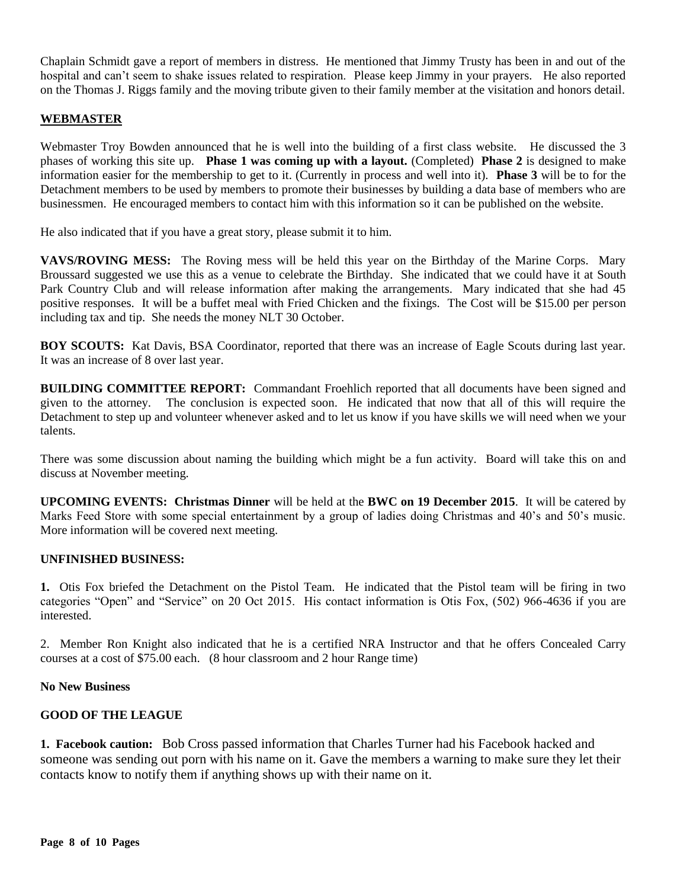Chaplain Schmidt gave a report of members in distress. He mentioned that Jimmy Trusty has been in and out of the hospital and can't seem to shake issues related to respiration. Please keep Jimmy in your prayers. He also reported on the Thomas J. Riggs family and the moving tribute given to their family member at the visitation and honors detail.

#### **WEBMASTER**

Webmaster Troy Bowden announced that he is well into the building of a first class website. He discussed the 3 phases of working this site up. **Phase 1 was coming up with a layout.** (Completed) **Phase 2** is designed to make information easier for the membership to get to it. (Currently in process and well into it). **Phase 3** will be to for the Detachment members to be used by members to promote their businesses by building a data base of members who are businessmen. He encouraged members to contact him with this information so it can be published on the website.

He also indicated that if you have a great story, please submit it to him.

**VAVS/ROVING MESS:** The Roving mess will be held this year on the Birthday of the Marine Corps. Mary Broussard suggested we use this as a venue to celebrate the Birthday. She indicated that we could have it at South Park Country Club and will release information after making the arrangements. Mary indicated that she had 45 positive responses. It will be a buffet meal with Fried Chicken and the fixings. The Cost will be \$15.00 per person including tax and tip. She needs the money NLT 30 October.

**BOY SCOUTS:** Kat Davis, BSA Coordinator, reported that there was an increase of Eagle Scouts during last year. It was an increase of 8 over last year.

**BUILDING COMMITTEE REPORT:** Commandant Froehlich reported that all documents have been signed and given to the attorney. The conclusion is expected soon. He indicated that now that all of this will require the Detachment to step up and volunteer whenever asked and to let us know if you have skills we will need when we your talents.

There was some discussion about naming the building which might be a fun activity. Board will take this on and discuss at November meeting.

**UPCOMING EVENTS: Christmas Dinner** will be held at the **BWC on 19 December 2015**. It will be catered by Marks Feed Store with some special entertainment by a group of ladies doing Christmas and 40's and 50's music. More information will be covered next meeting.

### **UNFINISHED BUSINESS:**

**1.** Otis Fox briefed the Detachment on the Pistol Team. He indicated that the Pistol team will be firing in two categories "Open" and "Service" on 20 Oct 2015. His contact information is Otis Fox, (502) 966-4636 if you are interested.

2. Member Ron Knight also indicated that he is a certified NRA Instructor and that he offers Concealed Carry courses at a cost of \$75.00 each. (8 hour classroom and 2 hour Range time)

#### **No New Business**

#### **GOOD OF THE LEAGUE**

**1. Facebook caution:** Bob Cross passed information that Charles Turner had his Facebook hacked and someone was sending out porn with his name on it. Gave the members a warning to make sure they let their contacts know to notify them if anything shows up with their name on it.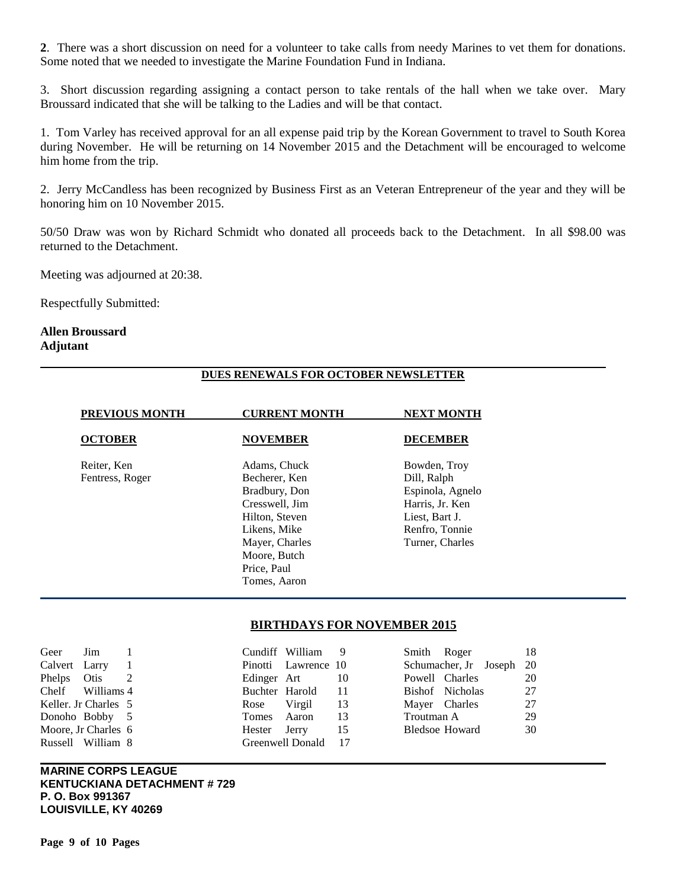**2**. There was a short discussion on need for a volunteer to take calls from needy Marines to vet them for donations. Some noted that we needed to investigate the Marine Foundation Fund in Indiana.

3. Short discussion regarding assigning a contact person to take rentals of the hall when we take over. Mary Broussard indicated that she will be talking to the Ladies and will be that contact.

1. Tom Varley has received approval for an all expense paid trip by the Korean Government to travel to South Korea during November. He will be returning on 14 November 2015 and the Detachment will be encouraged to welcome him home from the trip.

2. Jerry McCandless has been recognized by Business First as an Veteran Entrepreneur of the year and they will be honoring him on 10 November 2015.

50/50 Draw was won by Richard Schmidt who donated all proceeds back to the Detachment. In all \$98.00 was returned to the Detachment.

Meeting was adjourned at 20:38.

Respectfully Submitted:

#### **Allen Broussard Adjutant**

#### **DUES RENEWALS FOR OCTOBER NEWSLETTER**

| <b>PREVIOUS MONTH</b>          | <b>CURRENT MONTH</b>                                                                               | <b>NEXT MONTH</b>                                                                                      |
|--------------------------------|----------------------------------------------------------------------------------------------------|--------------------------------------------------------------------------------------------------------|
| <b>OCTOBER</b>                 | <b>NOVEMBER</b>                                                                                    | <b>DECEMBER</b>                                                                                        |
| Reiter, Ken<br>Fentress, Roger | Adams, Chuck<br>Becherer, Ken<br>Bradbury, Don<br>Cresswell, Jim<br>Hilton, Steven<br>Likens, Mike | Bowden, Troy<br>Dill, Ralph<br>Espinola, Agnelo<br>Harris, Jr. Ken<br>Liest, Bart J.<br>Renfro, Tonnie |
|                                | Mayer, Charles<br>Moore, Butch<br>Price, Paul<br>Tomes, Aaron                                      | Turner, Charles                                                                                        |

#### **BIRTHDAYS FOR NOVEMBER 2015**

| Geer          | Jim                  |                |                | Cundiff William 9   |      |            | Smith Roger              | 18 |
|---------------|----------------------|----------------|----------------|---------------------|------|------------|--------------------------|----|
| Calvert Larry |                      | $\blacksquare$ |                | Pinotti Lawrence 10 |      |            | Schumacher, Jr Joseph 20 |    |
| Phelps Otis   |                      |                | Edinger Art    |                     | -10  |            | Powell Charles           | 20 |
|               | Chelf Williams 4     |                | Buchter Harold |                     | - 11 |            | Bishof Nicholas          | 27 |
|               | Keller. Jr Charles 5 |                | Rose           | Virgil              | -13  |            | Mayer Charles            | 27 |
|               | Donoho Bobby 5       |                | Tomes Aaron    |                     | -13  | Troutman A |                          | 29 |
|               | Moore, Jr Charles 6  |                | Hester Jerry   |                     | 15   |            | <b>Bledsoe Howard</b>    | 30 |
|               | Russell William 8    |                |                | Greenwell Donald 17 |      |            |                          |    |

**MARINE CORPS LEAGUE KENTUCKIANA DETACHMENT # 729 P. O. Box 991367 LOUISVILLE, KY 40269**